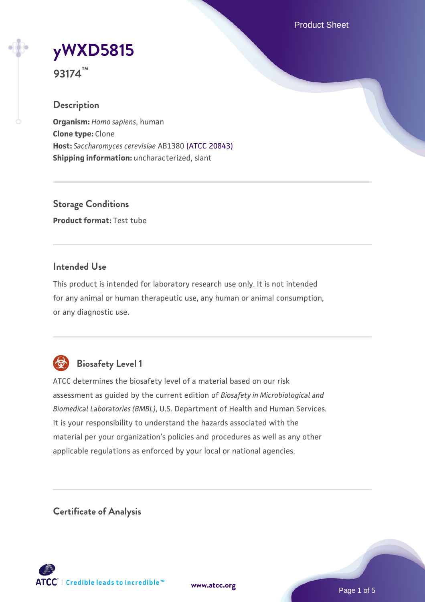Product Sheet

# **[yWXD5815](https://www.atcc.org/products/93174)**

**93174™**

## **Description**

**Organism:** *Homo sapiens*, human **Clone type:** Clone **Host:** *Saccharomyces cerevisiae* AB1380 [\(ATCC 20843\)](https://www.atcc.org/products/20843) **Shipping information:** uncharacterized, slant

**Storage Conditions Product format:** Test tube

## **Intended Use**

This product is intended for laboratory research use only. It is not intended for any animal or human therapeutic use, any human or animal consumption, or any diagnostic use.



## **Biosafety Level 1**

ATCC determines the biosafety level of a material based on our risk assessment as guided by the current edition of *Biosafety in Microbiological and Biomedical Laboratories (BMBL)*, U.S. Department of Health and Human Services. It is your responsibility to understand the hazards associated with the material per your organization's policies and procedures as well as any other applicable regulations as enforced by your local or national agencies.

**Certificate of Analysis**

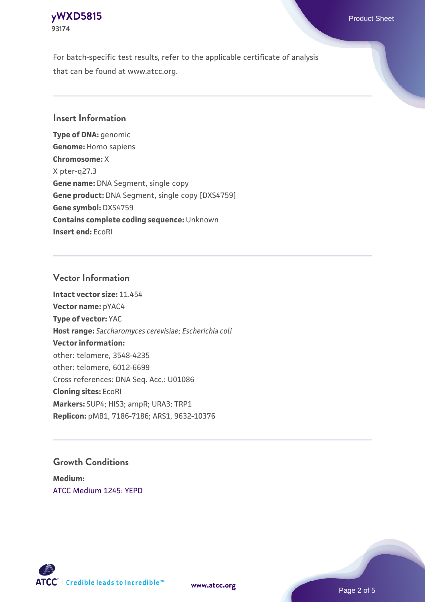## **[yWXD5815](https://www.atcc.org/products/93174)** Product Sheet **93174**

For batch-specific test results, refer to the applicable certificate of analysis that can be found at www.atcc.org.

## **Insert Information**

**Type of DNA:** genomic **Genome:** Homo sapiens **Chromosome:** X X pter-q27.3 **Gene name:** DNA Segment, single copy **Gene product:** DNA Segment, single copy [DXS4759] **Gene symbol:** DXS4759 **Contains complete coding sequence:** Unknown **Insert end:** EcoRI

## **Vector Information**

**Intact vector size:** 11.454 **Vector name:** pYAC4 **Type of vector:** YAC **Host range:** *Saccharomyces cerevisiae*; *Escherichia coli* **Vector information:** other: telomere, 3548-4235 other: telomere, 6012-6699 Cross references: DNA Seq. Acc.: U01086 **Cloning sites:** EcoRI **Markers:** SUP4; HIS3; ampR; URA3; TRP1 **Replicon:** pMB1, 7186-7186; ARS1, 9632-10376

## **Growth Conditions**

**Medium:**  [ATCC Medium 1245: YEPD](https://www.atcc.org/-/media/product-assets/documents/microbial-media-formulations/1/2/4/5/atcc-medium-1245.pdf?rev=705ca55d1b6f490a808a965d5c072196)



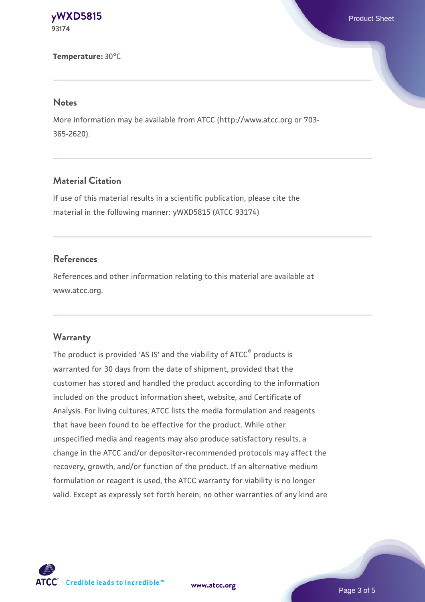#### **[yWXD5815](https://www.atcc.org/products/93174)** Product Sheet **93174**

**Temperature:** 30°C

#### **Notes**

More information may be available from ATCC (http://www.atcc.org or 703- 365-2620).

## **Material Citation**

If use of this material results in a scientific publication, please cite the material in the following manner: yWXD5815 (ATCC 93174)

## **References**

References and other information relating to this material are available at www.atcc.org.

#### **Warranty**

The product is provided 'AS IS' and the viability of ATCC® products is warranted for 30 days from the date of shipment, provided that the customer has stored and handled the product according to the information included on the product information sheet, website, and Certificate of Analysis. For living cultures, ATCC lists the media formulation and reagents that have been found to be effective for the product. While other unspecified media and reagents may also produce satisfactory results, a change in the ATCC and/or depositor-recommended protocols may affect the recovery, growth, and/or function of the product. If an alternative medium formulation or reagent is used, the ATCC warranty for viability is no longer valid. Except as expressly set forth herein, no other warranties of any kind are



**[www.atcc.org](http://www.atcc.org)**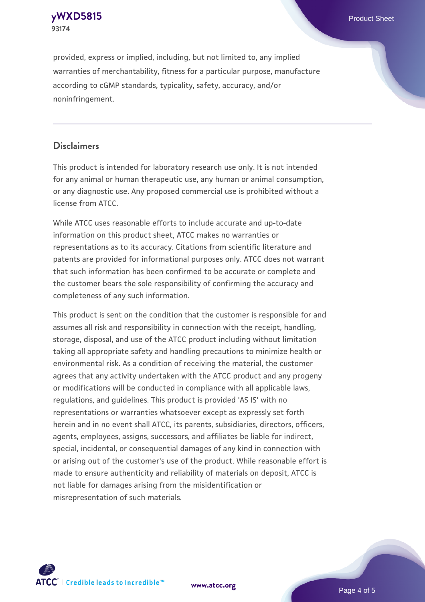### **[yWXD5815](https://www.atcc.org/products/93174)** Product Sheet **93174**

provided, express or implied, including, but not limited to, any implied warranties of merchantability, fitness for a particular purpose, manufacture according to cGMP standards, typicality, safety, accuracy, and/or noninfringement.

## **Disclaimers**

This product is intended for laboratory research use only. It is not intended for any animal or human therapeutic use, any human or animal consumption, or any diagnostic use. Any proposed commercial use is prohibited without a license from ATCC.

While ATCC uses reasonable efforts to include accurate and up-to-date information on this product sheet, ATCC makes no warranties or representations as to its accuracy. Citations from scientific literature and patents are provided for informational purposes only. ATCC does not warrant that such information has been confirmed to be accurate or complete and the customer bears the sole responsibility of confirming the accuracy and completeness of any such information.

This product is sent on the condition that the customer is responsible for and assumes all risk and responsibility in connection with the receipt, handling, storage, disposal, and use of the ATCC product including without limitation taking all appropriate safety and handling precautions to minimize health or environmental risk. As a condition of receiving the material, the customer agrees that any activity undertaken with the ATCC product and any progeny or modifications will be conducted in compliance with all applicable laws, regulations, and guidelines. This product is provided 'AS IS' with no representations or warranties whatsoever except as expressly set forth herein and in no event shall ATCC, its parents, subsidiaries, directors, officers, agents, employees, assigns, successors, and affiliates be liable for indirect, special, incidental, or consequential damages of any kind in connection with or arising out of the customer's use of the product. While reasonable effort is made to ensure authenticity and reliability of materials on deposit, ATCC is not liable for damages arising from the misidentification or misrepresentation of such materials.



**[www.atcc.org](http://www.atcc.org)**